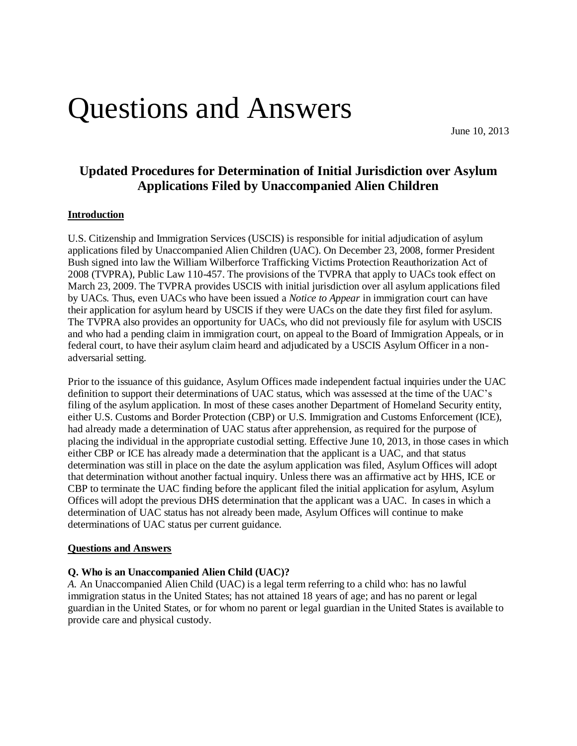# Questions and Answers

June 10, 2013

# **Updated Procedures for Determination of Initial Jurisdiction over Asylum Applications Filed by Unaccompanied Alien Children**

# **Introduction**

U.S. Citizenship and Immigration Services (USCIS) is responsible for initial adjudication of asylum applications filed by Unaccompanied Alien Children (UAC). On December 23, 2008, former President Bush signed into law the William Wilberforce Trafficking Victims Protection Reauthorization Act of 2008 (TVPRA), Public Law 110-457. The provisions of the TVPRA that apply to UACs took effect on March 23, 2009. The TVPRA provides USCIS with initial jurisdiction over all asylum applications filed by UACs. Thus, even UACs who have been issued a *Notice to Appear* in immigration court can have their application for asylum heard by USCIS if they were UACs on the date they first filed for asylum. The TVPRA also provides an opportunity for UACs, who did not previously file for asylum with USCIS and who had a pending claim in immigration court, on appeal to the Board of Immigration Appeals, or in federal court, to have their asylum claim heard and adjudicated by a USCIS Asylum Officer in a nonadversarial setting.

Prior to the issuance of this guidance, Asylum Offices made independent factual inquiries under the UAC definition to support their determinations of UAC status, which was assessed at the time of the UAC's filing of the asylum application. In most of these cases another Department of Homeland Security entity, either U.S. Customs and Border Protection (CBP) or U.S. Immigration and Customs Enforcement (ICE), had already made a determination of UAC status after apprehension, as required for the purpose of placing the individual in the appropriate custodial setting. Effective June 10, 2013, in those cases in which either CBP or ICE has already made a determination that the applicant is a UAC, and that status determination was still in place on the date the asylum application was filed, Asylum Offices will adopt that determination without another factual inquiry. Unless there was an affirmative act by HHS, ICE or CBP to terminate the UAC finding before the applicant filed the initial application for asylum, Asylum Offices will adopt the previous DHS determination that the applicant was a UAC. In cases in which a determination of UAC status has not already been made, Asylum Offices will continue to make determinations of UAC status per current guidance.

#### **Questions and Answers**

#### **Q. Who is an Unaccompanied Alien Child (UAC)?**

*A.* An Unaccompanied Alien Child (UAC) is a legal term referring to a child who: has no lawful immigration status in the United States; has not attained 18 years of age; and has no parent or legal guardian in the United States, or for whom no parent or legal guardian in the United States is available to provide care and physical custody.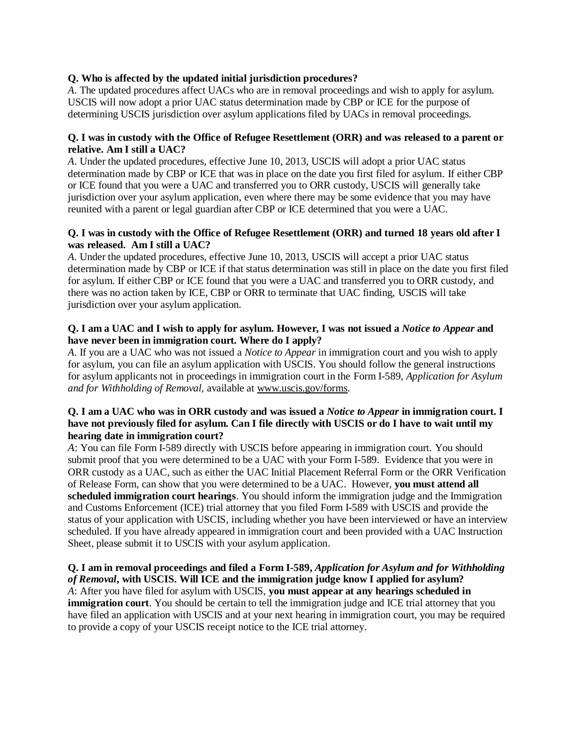# **Q. Who is affected by the updated initial jurisdiction procedures?**

*A*. The updated procedures affect UACs who are in removal proceedings and wish to apply for asylum. USCIS will now adopt a prior UAC status determination made by CBP or ICE for the purpose of determining USCIS jurisdiction over asylum applications filed by UACs in removal proceedings.

#### **Q. I was in custody with the Office of Refugee Resettlement (ORR) and was released to a parent or relative. Am I still a UAC?**

*A*. Under the updated procedures, effective June 10, 2013, USCIS will adopt a prior UAC status determination made by CBP or ICE that was in place on the date you first filed for asylum. If either CBP or ICE found that you were a UAC and transferred you to ORR custody, USCIS will generally take jurisdiction over your asylum application, even where there may be some evidence that you may have reunited with a parent or legal guardian after CBP or ICE determined that you were a UAC.

## **Q. I was in custody with the Office of Refugee Resettlement (ORR) and turned 18 years old after I was released. Am I still a UAC?**

*A*. Under the updated procedures, effective June 10, 2013, USCIS will accept a prior UAC status determination made by CBP or ICE if that status determination was still in place on the date you first filed for asylum. If either CBP or ICE found that you were a UAC and transferred you to ORR custody, and there was no action taken by ICE, CBP or ORR to terminate that UAC finding, USCIS will take jurisdiction over your asylum application.

#### **Q. I am a UAC and I wish to apply for asylum. However, I was not issued a** *Notice to Appear* **and have never been in immigration court. Where do I apply?**

*A*. If you are a UAC who was not issued a *Notice to Appear* in immigration court and you wish to apply for asylum, you can file an asylum application with USCIS. You should follow the general instructions for asylum applicants not in proceedings in immigration court in the Form I-589, *Application for Asylum and for Withholding of Removal,* available at www.uscis.gov/forms.

#### **Q. I am a UAC who was in ORR custody and was issued a** *Notice to Appear* **in immigration court. I have not previously filed for asylum. Can I file directly with USCIS or do I have to wait until my hearing date in immigration court?**

*A*: You can file Form I-589 directly with USCIS before appearing in immigration court. You should submit proof that you were determined to be a UAC with your Form I-589. Evidence that you were in ORR custody as a UAC, such as either the UAC Initial Placement Referral Form or the ORR Verification of Release Form, can show that you were determined to be a UAC. However, **you must attend all scheduled immigration court hearings**. You should inform the immigration judge and the Immigration and Customs Enforcement (ICE) trial attorney that you filed Form I-589 with USCIS and provide the status of your application with USCIS, including whether you have been interviewed or have an interview scheduled. If you have already appeared in immigration court and been provided with a UAC Instruction Sheet, please submit it to USCIS with your asylum application.

# **Q. I am in removal proceedings and filed a Form I-589,** *Application for Asylum and for Withholding of Removal***, with USCIS. Will ICE and the immigration judge know I applied for asylum?**  *A*: After you have filed for asylum with USCIS, **you must appear at any hearings scheduled in immigration court**. You should be certain to tell the immigration judge and ICE trial attorney that you have filed an application with USCIS and at your next hearing in immigration court, you may be required to provide a copy of your USCIS receipt notice to the ICE trial attorney.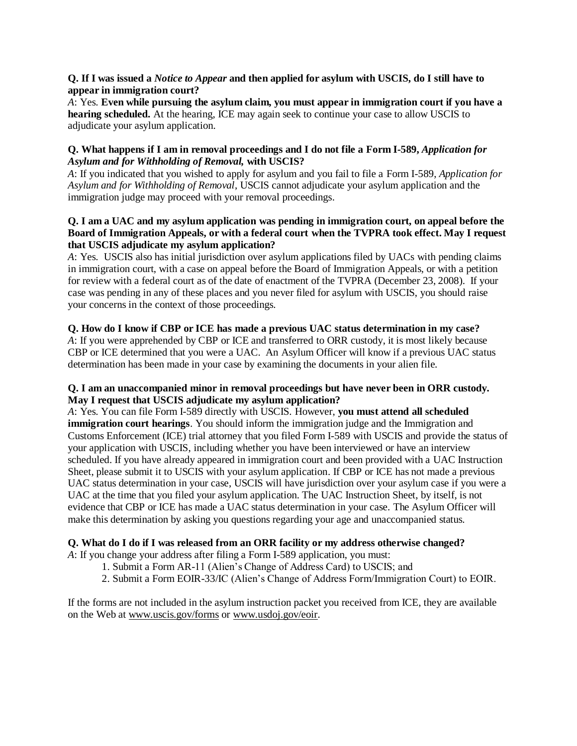# **Q. If I was issued a** *Notice to Appear* **and then applied for asylum with USCIS, do I still have to appear in immigration court?**

*A*: Yes. **Even while pursuing the asylum claim, you must appear in immigration court if you have a hearing scheduled.** At the hearing, ICE may again seek to continue your case to allow USCIS to adjudicate your asylum application.

# **Q. What happens if I am in removal proceedings and I do not file a Form I-589,** *Application for Asylum and for Withholding of Removal,* **with USCIS?**

*A*: If you indicated that you wished to apply for asylum and you fail to file a Form I-589, *Application for Asylum and for Withholding of Removal*, USCIS cannot adjudicate your asylum application and the immigration judge may proceed with your removal proceedings.

# **Q. I am a UAC and my asylum application was pending in immigration court, on appeal before the Board of Immigration Appeals, or with a federal court when the TVPRA took effect. May I request that USCIS adjudicate my asylum application?**

*A*: Yes. USCIS also has initial jurisdiction over asylum applications filed by UACs with pending claims in immigration court, with a case on appeal before the Board of Immigration Appeals, or with a petition for review with a federal court as of the date of enactment of the TVPRA (December 23, 2008). If your case was pending in any of these places and you never filed for asylum with USCIS, you should raise your concerns in the context of those proceedings.

# **Q. How do I know if CBP or ICE has made a previous UAC status determination in my case?**

*A*: If you were apprehended by CBP or ICE and transferred to ORR custody, it is most likely because CBP or ICE determined that you were a UAC. An Asylum Officer will know if a previous UAC status determination has been made in your case by examining the documents in your alien file.

# **Q. I am an unaccompanied minor in removal proceedings but have never been in ORR custody. May I request that USCIS adjudicate my asylum application?**

*A*: Yes. You can file Form I-589 directly with USCIS. However, **you must attend all scheduled immigration court hearings**. You should inform the immigration judge and the Immigration and Customs Enforcement (ICE) trial attorney that you filed Form I-589 with USCIS and provide the status of your application with USCIS, including whether you have been interviewed or have an interview scheduled. If you have already appeared in immigration court and been provided with a UAC Instruction Sheet, please submit it to USCIS with your asylum application. If CBP or ICE has not made a previous UAC status determination in your case, USCIS will have jurisdiction over your asylum case if you were a UAC at the time that you filed your asylum application. The UAC Instruction Sheet, by itself, is not evidence that CBP or ICE has made a UAC status determination in your case. The Asylum Officer will make this determination by asking you questions regarding your age and unaccompanied status.

# **Q. What do I do if I was released from an ORR facility or my address otherwise changed?**

*A*: If you change your address after filing a Form I-589 application, you must:

- 1. Submit a Form AR-11 (Alien's Change of Address Card) to USCIS; and
- 2. Submit a Form EOIR-33/IC (Alien's Change of Address Form/Immigration Court) to EOIR.

If the forms are not included in the asylum instruction packet you received from ICE, they are available on the Web at www.uscis.gov/forms or www.usdoj.gov/eoir.